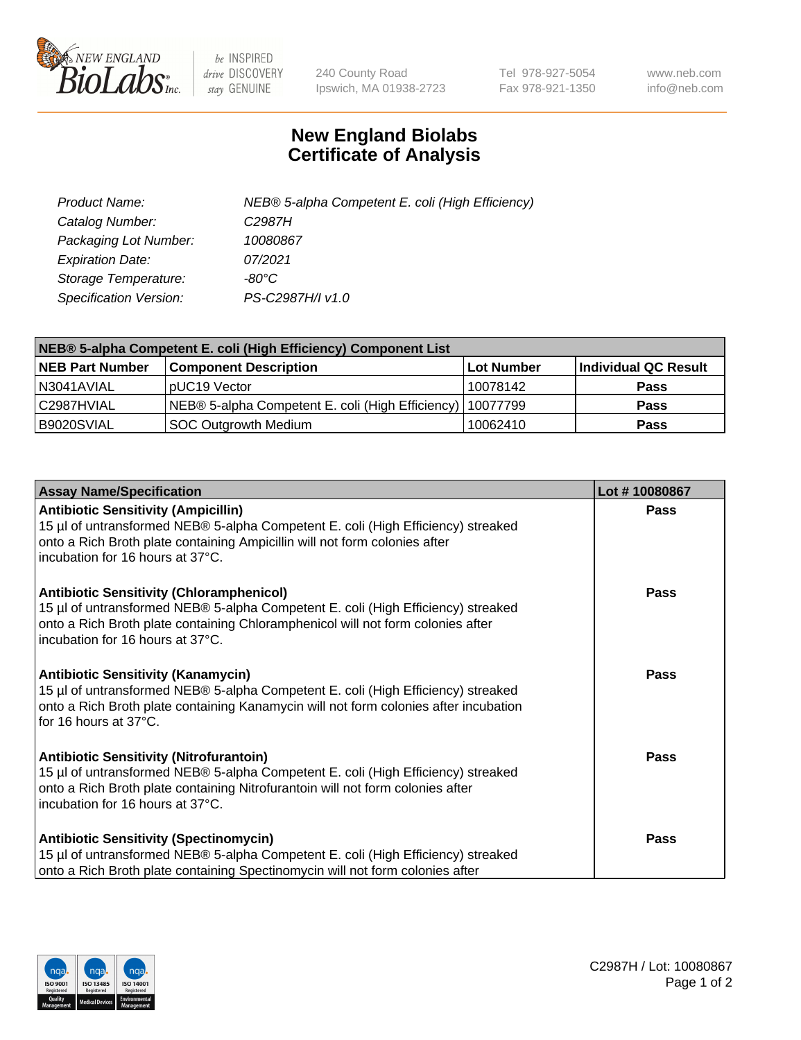

 $be$  INSPIRED drive DISCOVERY stay GENUINE

240 County Road Ipswich, MA 01938-2723 Tel 978-927-5054 Fax 978-921-1350 www.neb.com info@neb.com

## **New England Biolabs Certificate of Analysis**

| Product Name:           | NEB® 5-alpha Competent E. coli (High Efficiency) |
|-------------------------|--------------------------------------------------|
| Catalog Number:         | C <sub>2987</sub> H                              |
| Packaging Lot Number:   | 10080867                                         |
| <b>Expiration Date:</b> | 07/2021                                          |
| Storage Temperature:    | -80°C                                            |
| Specification Version:  | PS-C2987H/I v1.0                                 |

| NEB® 5-alpha Competent E. coli (High Efficiency) Component List |                                                             |            |                      |  |
|-----------------------------------------------------------------|-------------------------------------------------------------|------------|----------------------|--|
| <b>NEB Part Number</b>                                          | <b>Component Description</b>                                | Lot Number | Individual QC Result |  |
| N3041AVIAL                                                      | pUC19 Vector                                                | 10078142   | <b>Pass</b>          |  |
| C2987HVIAL                                                      | NEB® 5-alpha Competent E. coli (High Efficiency)   10077799 |            | <b>Pass</b>          |  |
| B9020SVIAL                                                      | SOC Outgrowth Medium                                        | 10062410   | <b>Pass</b>          |  |

| <b>Assay Name/Specification</b>                                                                                                                                                                                                                            | Lot #10080867 |
|------------------------------------------------------------------------------------------------------------------------------------------------------------------------------------------------------------------------------------------------------------|---------------|
| <b>Antibiotic Sensitivity (Ampicillin)</b><br>15 µl of untransformed NEB® 5-alpha Competent E. coli (High Efficiency) streaked<br>onto a Rich Broth plate containing Ampicillin will not form colonies after<br>incubation for 16 hours at 37°C.           | <b>Pass</b>   |
| <b>Antibiotic Sensitivity (Chloramphenicol)</b><br>15 µl of untransformed NEB® 5-alpha Competent E. coli (High Efficiency) streaked<br>onto a Rich Broth plate containing Chloramphenicol will not form colonies after<br>incubation for 16 hours at 37°C. | Pass          |
| Antibiotic Sensitivity (Kanamycin)<br>15 µl of untransformed NEB® 5-alpha Competent E. coli (High Efficiency) streaked<br>onto a Rich Broth plate containing Kanamycin will not form colonies after incubation<br>for 16 hours at 37°C.                    | Pass          |
| <b>Antibiotic Sensitivity (Nitrofurantoin)</b><br>15 µl of untransformed NEB® 5-alpha Competent E. coli (High Efficiency) streaked<br>onto a Rich Broth plate containing Nitrofurantoin will not form colonies after<br>incubation for 16 hours at 37°C.   | <b>Pass</b>   |
| <b>Antibiotic Sensitivity (Spectinomycin)</b><br>15 µl of untransformed NEB® 5-alpha Competent E. coli (High Efficiency) streaked<br>onto a Rich Broth plate containing Spectinomycin will not form colonies after                                         | Pass          |